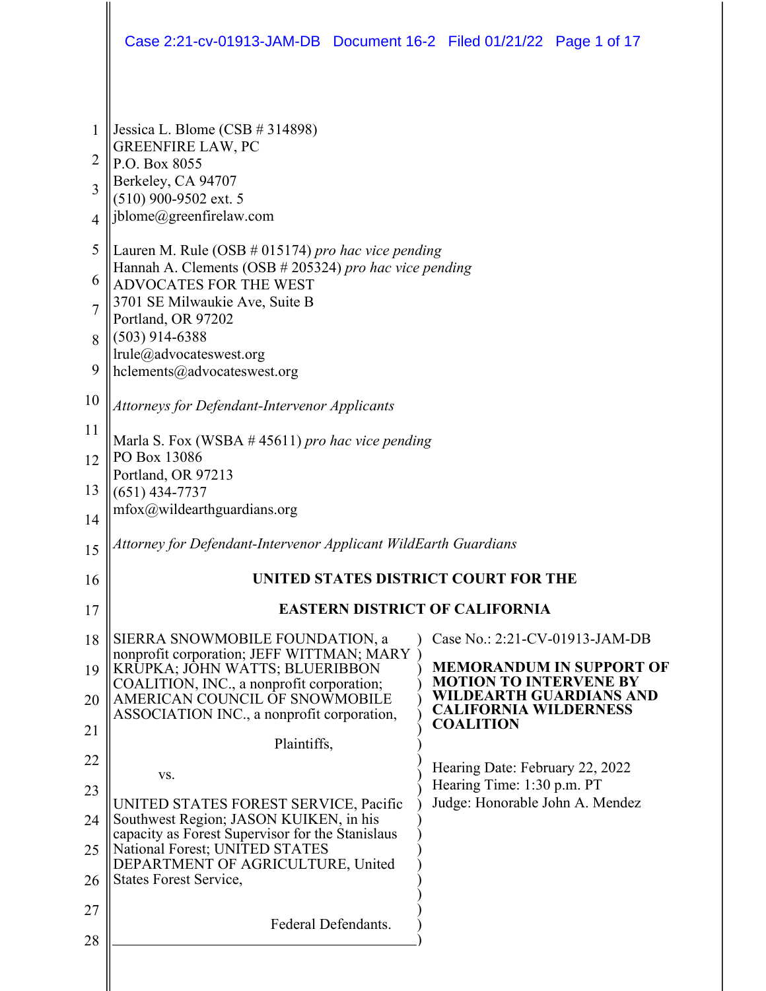|                | Case 2:21-cv-01913-JAM-DB  Document 16-2  Filed 01/21/22  Page 1 of 17                     |  |                                                               |                                 |  |
|----------------|--------------------------------------------------------------------------------------------|--|---------------------------------------------------------------|---------------------------------|--|
| $\mathbf{1}$   | Jessica L. Blome (CSB $#314898$ )                                                          |  |                                                               |                                 |  |
| $\overline{c}$ | <b>GREENFIRE LAW, PC</b><br>P.O. Box 8055                                                  |  |                                                               |                                 |  |
| 3              | Berkeley, CA 94707                                                                         |  |                                                               |                                 |  |
| $\overline{4}$ | (510) 900-9502 ext. 5<br>jblome@greenfirelaw.com                                           |  |                                                               |                                 |  |
| 5              | Lauren M. Rule (OSB # 015174) pro hac vice pending                                         |  |                                                               |                                 |  |
| 6              | Hannah A. Clements (OSB # 205324) pro hac vice pending<br><b>ADVOCATES FOR THE WEST</b>    |  |                                                               |                                 |  |
| $\overline{7}$ | 3701 SE Milwaukie Ave, Suite B                                                             |  |                                                               |                                 |  |
| 8              | Portland, OR 97202<br>$(503)$ 914-6388                                                     |  |                                                               |                                 |  |
| 9              | lrule@advocateswest.org<br>hclements@advocateswest.org                                     |  |                                                               |                                 |  |
| 10             | <b>Attorneys for Defendant-Intervenor Applicants</b>                                       |  |                                                               |                                 |  |
| 11             | Marla S. Fox (WSBA $#$ 45611) pro hac vice pending                                         |  |                                                               |                                 |  |
| 12             | PO Box 13086<br>Portland, OR 97213                                                         |  |                                                               |                                 |  |
| 13             | $(651)$ 434-7737                                                                           |  |                                                               |                                 |  |
| 14             | $m$ fox@wildearthguardians.org                                                             |  |                                                               |                                 |  |
| 15             | Attorney for Defendant-Intervenor Applicant WildEarth Guardians                            |  |                                                               |                                 |  |
| 16             | UNITED STATES DISTRICT COURT FOR THE                                                       |  |                                                               |                                 |  |
| 17             | <b>EASTERN DISTRICT OF CALIFORNIA</b>                                                      |  |                                                               |                                 |  |
| 18             | SIERRA SNOWMOBILE FOUNDATION, a<br>nonprofit corporation; JEFF WITTMAN; MARY               |  | Case No.: 2:21-CV-01913-JAM-DB                                |                                 |  |
| 19             | KRŪPKA; JOHN WATTS; BLUERIBBON<br>COALITION, INC., a nonprofit corporation;                |  | <b>MOTION TO INTERVENE BY</b>                                 | <b>MEMORANDUM IN SUPPORT OF</b> |  |
| 20             | AMERICAN COUNCIL OF SNOWMOBILE<br>ASSOCIATION INC., a nonprofit corporation,               |  | <b>CALIFORNIA WILDERNESS</b>                                  | WILDEARTH GUARDIANS AND         |  |
| 21             | Plaintiffs,                                                                                |  | <b>COALITION</b>                                              |                                 |  |
| 22             | VS.                                                                                        |  | Hearing Date: February 22, 2022                               |                                 |  |
| 23             | UNITED STATES FOREST SERVICE, Pacific                                                      |  | Hearing Time: 1:30 p.m. PT<br>Judge: Honorable John A. Mendez |                                 |  |
| 24             | Southwest Region; JASON KUIKEN, in his<br>capacity as Forest Supervisor for the Stanislaus |  |                                                               |                                 |  |
| 25             | National Forest; UNITED STATES<br>DEPARTMENT OF AGRICULTURE, United                        |  |                                                               |                                 |  |
| 26             | <b>States Forest Service,</b>                                                              |  |                                                               |                                 |  |
| 27             | Federal Defendants.                                                                        |  |                                                               |                                 |  |
| 28             |                                                                                            |  |                                                               |                                 |  |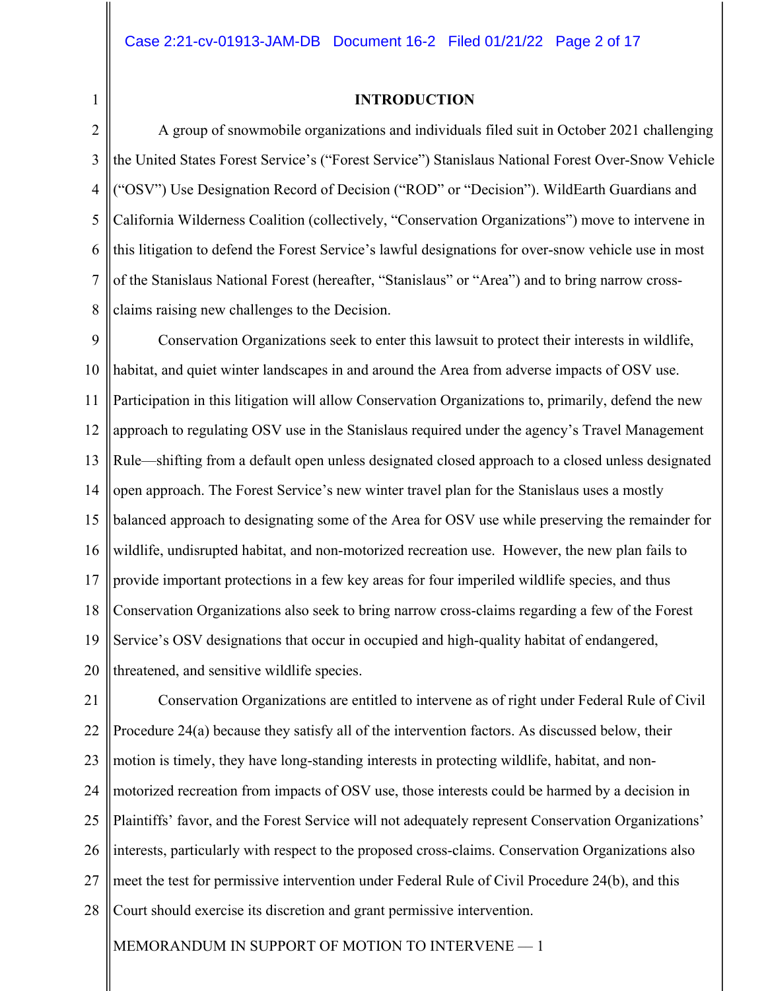1

#### **INTRODUCTION**

2 3 4 5 6 7 8 A group of snowmobile organizations and individuals filed suit in October 2021 challenging the United States Forest Service's ("Forest Service") Stanislaus National Forest Over-Snow Vehicle ("OSV") Use Designation Record of Decision ("ROD" or "Decision"). WildEarth Guardians and California Wilderness Coalition (collectively, "Conservation Organizations") move to intervene in this litigation to defend the Forest Service's lawful designations for over-snow vehicle use in most of the Stanislaus National Forest (hereafter, "Stanislaus" or "Area") and to bring narrow crossclaims raising new challenges to the Decision.

9 10 11 12 13 14 15 16 17 18 19 20 Conservation Organizations seek to enter this lawsuit to protect their interests in wildlife, habitat, and quiet winter landscapes in and around the Area from adverse impacts of OSV use. Participation in this litigation will allow Conservation Organizations to, primarily, defend the new approach to regulating OSV use in the Stanislaus required under the agency's Travel Management Rule––shifting from a default open unless designated closed approach to a closed unless designated open approach. The Forest Service's new winter travel plan for the Stanislaus uses a mostly balanced approach to designating some of the Area for OSV use while preserving the remainder for wildlife, undisrupted habitat, and non-motorized recreation use. However, the new plan fails to provide important protections in a few key areas for four imperiled wildlife species, and thus Conservation Organizations also seek to bring narrow cross-claims regarding a few of the Forest Service's OSV designations that occur in occupied and high-quality habitat of endangered, threatened, and sensitive wildlife species.

21 22 23 24 25 26 27 28 Conservation Organizations are entitled to intervene as of right under Federal Rule of Civil Procedure 24(a) because they satisfy all of the intervention factors. As discussed below, their motion is timely, they have long-standing interests in protecting wildlife, habitat, and nonmotorized recreation from impacts of OSV use, those interests could be harmed by a decision in Plaintiffs' favor, and the Forest Service will not adequately represent Conservation Organizations' interests, particularly with respect to the proposed cross-claims. Conservation Organizations also meet the test for permissive intervention under Federal Rule of Civil Procedure 24(b), and this Court should exercise its discretion and grant permissive intervention.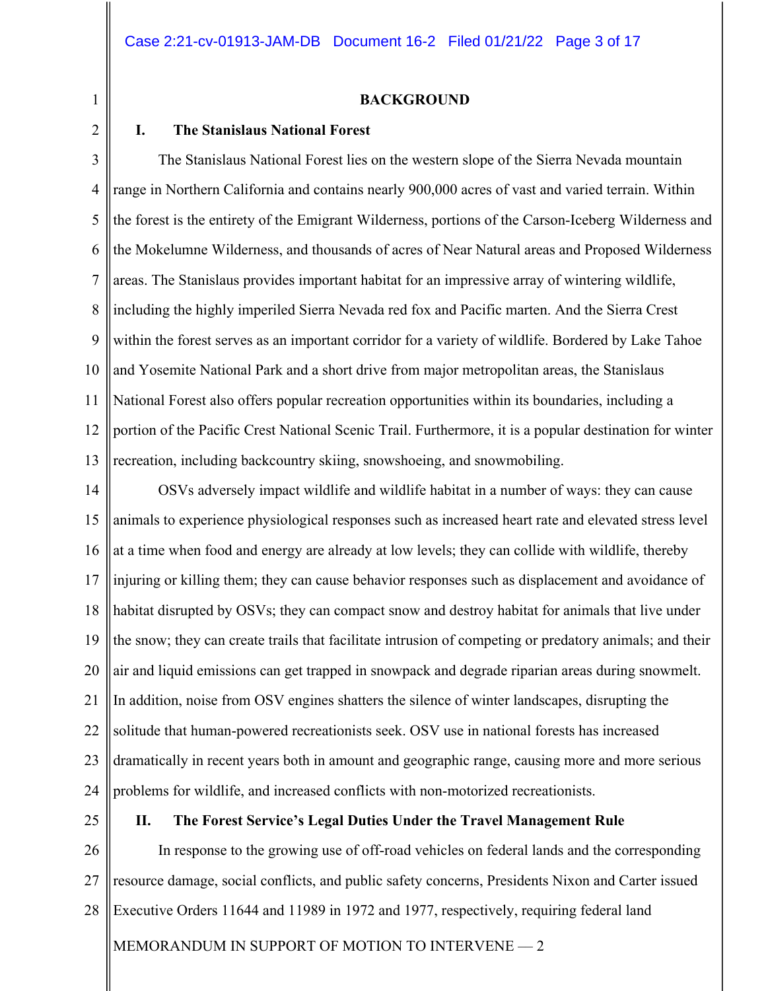#### **BACKGROUND**

## 2

1

## **I. The Stanislaus National Forest**

3 4 5 6 7 8 9 10 11 12 13 The Stanislaus National Forest lies on the western slope of the Sierra Nevada mountain range in Northern California and contains nearly 900,000 acres of vast and varied terrain. Within the forest is the entirety of the Emigrant Wilderness, portions of the Carson-Iceberg Wilderness and the Mokelumne Wilderness, and thousands of acres of Near Natural areas and Proposed Wilderness areas. The Stanislaus provides important habitat for an impressive array of wintering wildlife, including the highly imperiled Sierra Nevada red fox and Pacific marten. And the Sierra Crest within the forest serves as an important corridor for a variety of wildlife. Bordered by Lake Tahoe and Yosemite National Park and a short drive from major metropolitan areas, the Stanislaus National Forest also offers popular recreation opportunities within its boundaries, including a portion of the Pacific Crest National Scenic Trail. Furthermore, it is a popular destination for winter recreation, including backcountry skiing, snowshoeing, and snowmobiling.

14 15 16 17 18 19 20 21 22 23 24 OSVs adversely impact wildlife and wildlife habitat in a number of ways: they can cause animals to experience physiological responses such as increased heart rate and elevated stress level at a time when food and energy are already at low levels; they can collide with wildlife, thereby injuring or killing them; they can cause behavior responses such as displacement and avoidance of habitat disrupted by OSVs; they can compact snow and destroy habitat for animals that live under the snow; they can create trails that facilitate intrusion of competing or predatory animals; and their air and liquid emissions can get trapped in snowpack and degrade riparian areas during snowmelt. In addition, noise from OSV engines shatters the silence of winter landscapes, disrupting the solitude that human-powered recreationists seek. OSV use in national forests has increased dramatically in recent years both in amount and geographic range, causing more and more serious problems for wildlife, and increased conflicts with non-motorized recreationists.

25

#### **II. The Forest Service's Legal Duties Under the Travel Management Rule**

26 27 28 In response to the growing use of off-road vehicles on federal lands and the corresponding resource damage, social conflicts, and public safety concerns, Presidents Nixon and Carter issued Executive Orders 11644 and 11989 in 1972 and 1977, respectively, requiring federal land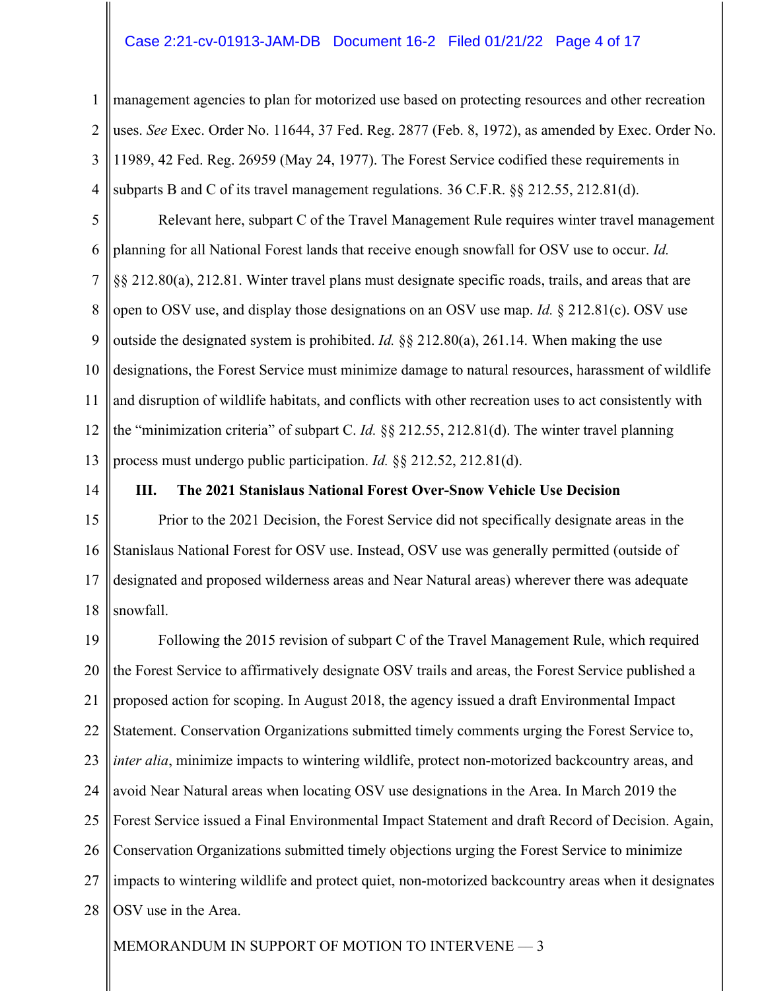#### Case 2:21-cv-01913-JAM-DB Document 16-2 Filed 01/21/22 Page 4 of 17

1 2 3 4 management agencies to plan for motorized use based on protecting resources and other recreation uses. *See* Exec. Order No. 11644, 37 Fed. Reg. 2877 (Feb. 8, 1972), as amended by Exec. Order No. 11989, 42 Fed. Reg. 26959 (May 24, 1977). The Forest Service codified these requirements in subparts B and C of its travel management regulations. 36 C.F.R. §§ 212.55, 212.81(d).

5 6 7 8 9 10 11 12 13 Relevant here, subpart C of the Travel Management Rule requires winter travel management planning for all National Forest lands that receive enough snowfall for OSV use to occur. *Id.* §§ 212.80(a), 212.81. Winter travel plans must designate specific roads, trails, and areas that are open to OSV use, and display those designations on an OSV use map. *Id.* § 212.81(c). OSV use outside the designated system is prohibited. *Id.* §§ 212.80(a), 261.14. When making the use designations, the Forest Service must minimize damage to natural resources, harassment of wildlife and disruption of wildlife habitats, and conflicts with other recreation uses to act consistently with the "minimization criteria" of subpart C. *Id.* §§ 212.55, 212.81(d). The winter travel planning process must undergo public participation. *Id.* §§ 212.52, 212.81(d).

14

#### **III. The 2021 Stanislaus National Forest Over-Snow Vehicle Use Decision**

15 16 17 18 Prior to the 2021 Decision, the Forest Service did not specifically designate areas in the Stanislaus National Forest for OSV use. Instead, OSV use was generally permitted (outside of designated and proposed wilderness areas and Near Natural areas) wherever there was adequate snowfall.

19 20 21 22 23 24 25 26 27 28 Following the 2015 revision of subpart C of the Travel Management Rule, which required the Forest Service to affirmatively designate OSV trails and areas, the Forest Service published a proposed action for scoping. In August 2018, the agency issued a draft Environmental Impact Statement. Conservation Organizations submitted timely comments urging the Forest Service to, *inter alia*, minimize impacts to wintering wildlife, protect non-motorized backcountry areas, and avoid Near Natural areas when locating OSV use designations in the Area. In March 2019 the Forest Service issued a Final Environmental Impact Statement and draft Record of Decision. Again, Conservation Organizations submitted timely objections urging the Forest Service to minimize impacts to wintering wildlife and protect quiet, non-motorized backcountry areas when it designates OSV use in the Area.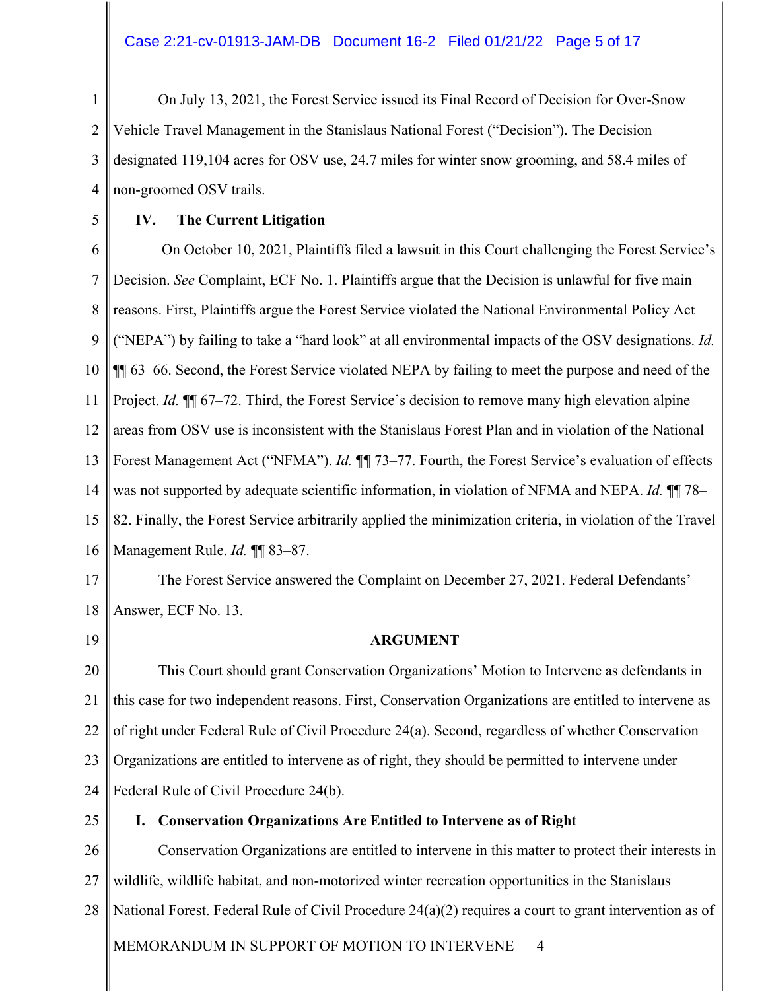## Case 2:21-cv-01913-JAM-DB Document 16-2 Filed 01/21/22 Page 5 of 17

1 2 3 4 On July 13, 2021, the Forest Service issued its Final Record of Decision for Over-Snow Vehicle Travel Management in the Stanislaus National Forest ("Decision"). The Decision designated 119,104 acres for OSV use, 24.7 miles for winter snow grooming, and 58.4 miles of non-groomed OSV trails.

5

# **IV. The Current Litigation**

6 7 8 9 10 11 12 13 14 15 16 On October 10, 2021, Plaintiffs filed a lawsuit in this Court challenging the Forest Service's Decision. *See* Complaint, ECF No. 1. Plaintiffs argue that the Decision is unlawful for five main reasons. First, Plaintiffs argue the Forest Service violated the National Environmental Policy Act ("NEPA") by failing to take a "hard look" at all environmental impacts of the OSV designations. *Id.* ¶¶ 63–66. Second, the Forest Service violated NEPA by failing to meet the purpose and need of the Project. *Id.* ¶¶ 67–72. Third, the Forest Service's decision to remove many high elevation alpine areas from OSV use is inconsistent with the Stanislaus Forest Plan and in violation of the National Forest Management Act ("NFMA"). *Id.* ¶*¶* 73–77. Fourth, the Forest Service's evaluation of effects was not supported by adequate scientific information, in violation of NFMA and NEPA. *Id.* ¶¶ 78– 82. Finally, the Forest Service arbitrarily applied the minimization criteria, in violation of the Travel Management Rule. *Id.* ¶¶ 83–87.

17

18 The Forest Service answered the Complaint on December 27, 2021. Federal Defendants' Answer, ECF No. 13.

19

# **ARGUMENT**

20 21 22 23 24 This Court should grant Conservation Organizations' Motion to Intervene as defendants in this case for two independent reasons. First, Conservation Organizations are entitled to intervene as of right under Federal Rule of Civil Procedure 24(a). Second, regardless of whether Conservation Organizations are entitled to intervene as of right, they should be permitted to intervene under Federal Rule of Civil Procedure 24(b).

25

## **I. Conservation Organizations Are Entitled to Intervene as of Right**

MEMORANDUM IN SUPPORT OF MOTION TO INTERVENE - 4 26 27 28 Conservation Organizations are entitled to intervene in this matter to protect their interests in wildlife, wildlife habitat, and non-motorized winter recreation opportunities in the Stanislaus National Forest. Federal Rule of Civil Procedure 24(a)(2) requires a court to grant intervention as of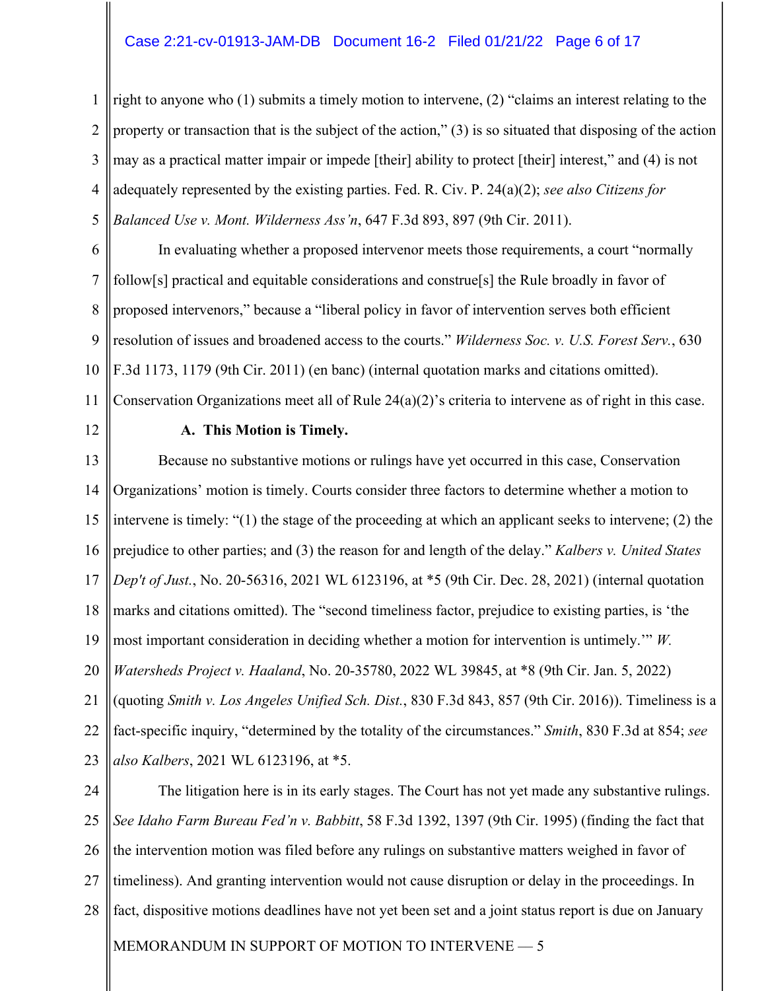## Case 2:21-cv-01913-JAM-DB Document 16-2 Filed 01/21/22 Page 6 of 17

1 2 3 4 5 right to anyone who (1) submits a timely motion to intervene, (2) "claims an interest relating to the property or transaction that is the subject of the action," (3) is so situated that disposing of the action may as a practical matter impair or impede [their] ability to protect [their] interest," and (4) is not adequately represented by the existing parties. Fed. R. Civ. P. 24(a)(2); *see also Citizens for Balanced Use v. Mont. Wilderness Ass'n*, 647 F.3d 893, 897 (9th Cir. 2011).

6 7 8 9 10 11 In evaluating whether a proposed intervenor meets those requirements, a court "normally follow[s] practical and equitable considerations and construe[s] the Rule broadly in favor of proposed intervenors," because a "liberal policy in favor of intervention serves both efficient resolution of issues and broadened access to the courts." *Wilderness Soc. v. U.S. Forest Serv.*, 630 F.3d 1173, 1179 (9th Cir. 2011) (en banc) (internal quotation marks and citations omitted). Conservation Organizations meet all of Rule 24(a)(2)'s criteria to intervene as of right in this case.

12

#### **A. This Motion is Timely.**

13 14 15 16 17 18 19 20 21 22 23 Because no substantive motions or rulings have yet occurred in this case, Conservation Organizations' motion is timely. Courts consider three factors to determine whether a motion to intervene is timely: "(1) the stage of the proceeding at which an applicant seeks to intervene; (2) the prejudice to other parties; and (3) the reason for and length of the delay." *Kalbers v. United States Dep't of Just.*, No. 20-56316, 2021 WL 6123196, at \*5 (9th Cir. Dec. 28, 2021) (internal quotation marks and citations omitted). The "second timeliness factor, prejudice to existing parties, is 'the most important consideration in deciding whether a motion for intervention is untimely.'" *W. Watersheds Project v. Haaland*, No. 20-35780, 2022 WL 39845, at \*8 (9th Cir. Jan. 5, 2022) (quoting *Smith v. Los Angeles Unified Sch. Dist.*, 830 F.3d 843, 857 (9th Cir. 2016)). Timeliness is a fact-specific inquiry, "determined by the totality of the circumstances." *Smith*, 830 F.3d at 854; *see also Kalbers*, 2021 WL 6123196, at \*5.

MEMORANDUM IN SUPPORT OF MOTION TO INTERVENE -- 5 24 25 26 27 28 The litigation here is in its early stages. The Court has not yet made any substantive rulings. *See Idaho Farm Bureau Fed'n v. Babbitt*, 58 F.3d 1392, 1397 (9th Cir. 1995) (finding the fact that the intervention motion was filed before any rulings on substantive matters weighed in favor of timeliness). And granting intervention would not cause disruption or delay in the proceedings. In fact, dispositive motions deadlines have not yet been set and a joint status report is due on January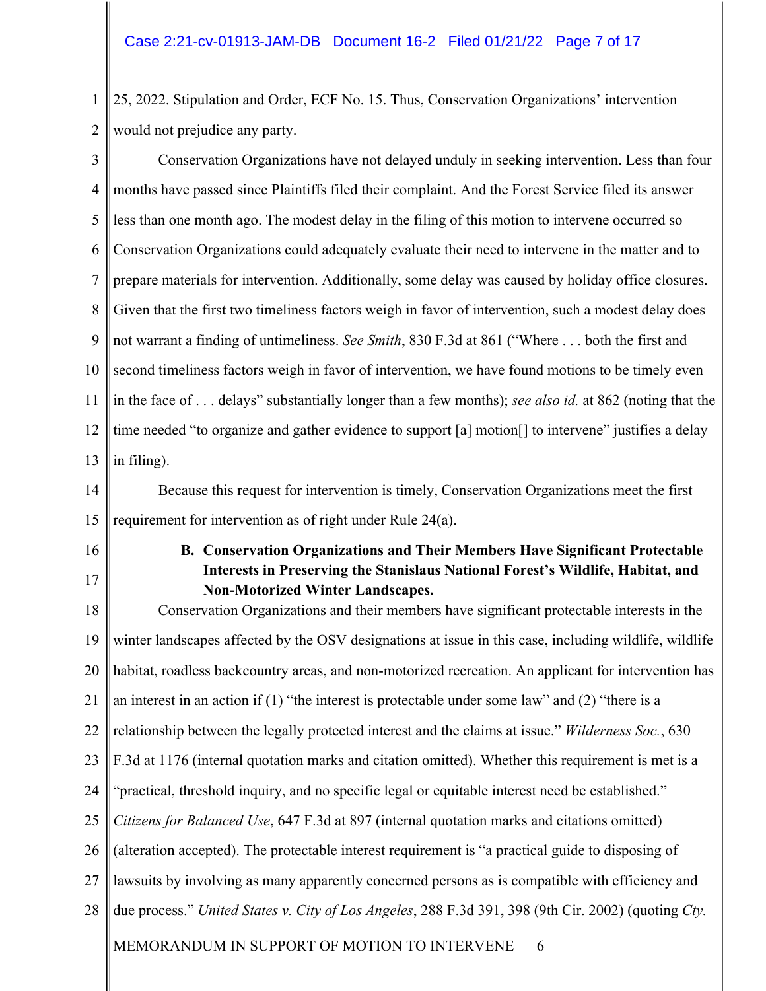1 2 25, 2022. Stipulation and Order, ECF No. 15. Thus, Conservation Organizations' intervention would not prejudice any party.

3 4 5 6 7 8 9 10 11 12 13 Conservation Organizations have not delayed unduly in seeking intervention. Less than four months have passed since Plaintiffs filed their complaint. And the Forest Service filed its answer less than one month ago. The modest delay in the filing of this motion to intervene occurred so Conservation Organizations could adequately evaluate their need to intervene in the matter and to prepare materials for intervention. Additionally, some delay was caused by holiday office closures. Given that the first two timeliness factors weigh in favor of intervention, such a modest delay does not warrant a finding of untimeliness. *See Smith*, 830 F.3d at 861 ("Where . . . both the first and second timeliness factors weigh in favor of intervention, we have found motions to be timely even in the face of . . . delays" substantially longer than a few months); *see also id.* at 862 (noting that the time needed "to organize and gather evidence to support [a] motion[] to intervene" justifies a delay in filing).

14 15 Because this request for intervention is timely, Conservation Organizations meet the first requirement for intervention as of right under Rule 24(a).

- 16
- 17

# **B. Conservation Organizations and Their Members Have Significant Protectable Interests in Preserving the Stanislaus National Forest's Wildlife, Habitat, and Non-Motorized Winter Landscapes.**

MEMORANDUM IN SUPPORT OF MOTION TO INTERVENE -- 6 18 19 20 21 22 23 24 25 26 27 28 Conservation Organizations and their members have significant protectable interests in the winter landscapes affected by the OSV designations at issue in this case, including wildlife, wildlife habitat, roadless backcountry areas, and non-motorized recreation. An applicant for intervention has an interest in an action if  $(1)$  "the interest is protectable under some law" and  $(2)$  "there is a relationship between the legally protected interest and the claims at issue." *Wilderness Soc.*, 630 F.3d at 1176 (internal quotation marks and citation omitted). Whether this requirement is met is a "practical, threshold inquiry, and no specific legal or equitable interest need be established." *Citizens for Balanced Use*, 647 F.3d at 897 (internal quotation marks and citations omitted) (alteration accepted). The protectable interest requirement is "a practical guide to disposing of lawsuits by involving as many apparently concerned persons as is compatible with efficiency and due process." *United States v. City of Los Angeles*, 288 F.3d 391, 398 (9th Cir. 2002) (quoting *Cty.*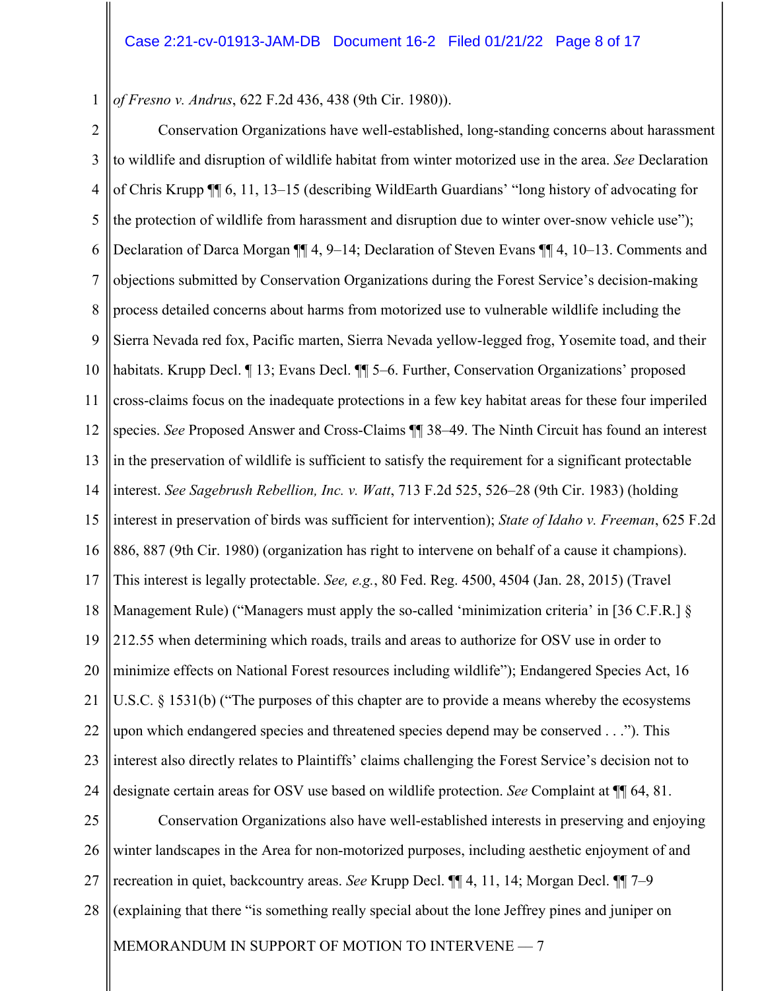1 *of Fresno v. Andrus*, 622 F.2d 436, 438 (9th Cir. 1980)).

2 3 4 5 6 7 8 9 10 11 12 13 14 15 16 17 18 19 20 21 22 23 24 25 Conservation Organizations have well-established, long-standing concerns about harassment to wildlife and disruption of wildlife habitat from winter motorized use in the area. *See* Declaration of Chris Krupp ¶¶ 6, 11, 13–15 (describing WildEarth Guardians' "long history of advocating for the protection of wildlife from harassment and disruption due to winter over-snow vehicle use"); Declaration of Darca Morgan ¶¶ 4, 9–14; Declaration of Steven Evans ¶¶ 4, 10–13. Comments and objections submitted by Conservation Organizations during the Forest Service's decision-making process detailed concerns about harms from motorized use to vulnerable wildlife including the Sierra Nevada red fox, Pacific marten, Sierra Nevada yellow-legged frog, Yosemite toad, and their habitats. Krupp Decl. *[13; Evans Decl. [[15–6. Further, Conservation Organizations' proposed* cross-claims focus on the inadequate protections in a few key habitat areas for these four imperiled species. *See* Proposed Answer and Cross-Claims ¶¶ 38–49. The Ninth Circuit has found an interest in the preservation of wildlife is sufficient to satisfy the requirement for a significant protectable interest. *See Sagebrush Rebellion, Inc. v. Watt*, 713 F.2d 525, 526–28 (9th Cir. 1983) (holding interest in preservation of birds was sufficient for intervention); *State of Idaho v. Freeman*, 625 F.2d 886, 887 (9th Cir. 1980) (organization has right to intervene on behalf of a cause it champions). This interest is legally protectable. *See, e.g.*, 80 Fed. Reg. 4500, 4504 (Jan. 28, 2015) (Travel Management Rule) ("Managers must apply the so-called 'minimization criteria' in [36 C.F.R.] § 212.55 when determining which roads, trails and areas to authorize for OSV use in order to minimize effects on National Forest resources including wildlife"); Endangered Species Act, 16 U.S.C. § 1531(b) ("The purposes of this chapter are to provide a means whereby the ecosystems upon which endangered species and threatened species depend may be conserved . . ."). This interest also directly relates to Plaintiffs' claims challenging the Forest Service's decision not to designate certain areas for OSV use based on wildlife protection. *See* Complaint at ¶¶ 64, 81. Conservation Organizations also have well-established interests in preserving and enjoying

MEMORANDUM IN SUPPORT OF MOTION TO INTERVENE - 7 26 27 28 winter landscapes in the Area for non-motorized purposes, including aesthetic enjoyment of and recreation in quiet, backcountry areas. *See* Krupp Decl. ¶¶ 4, 11, 14; Morgan Decl. ¶¶ 7–9 (explaining that there "is something really special about the lone Jeffrey pines and juniper on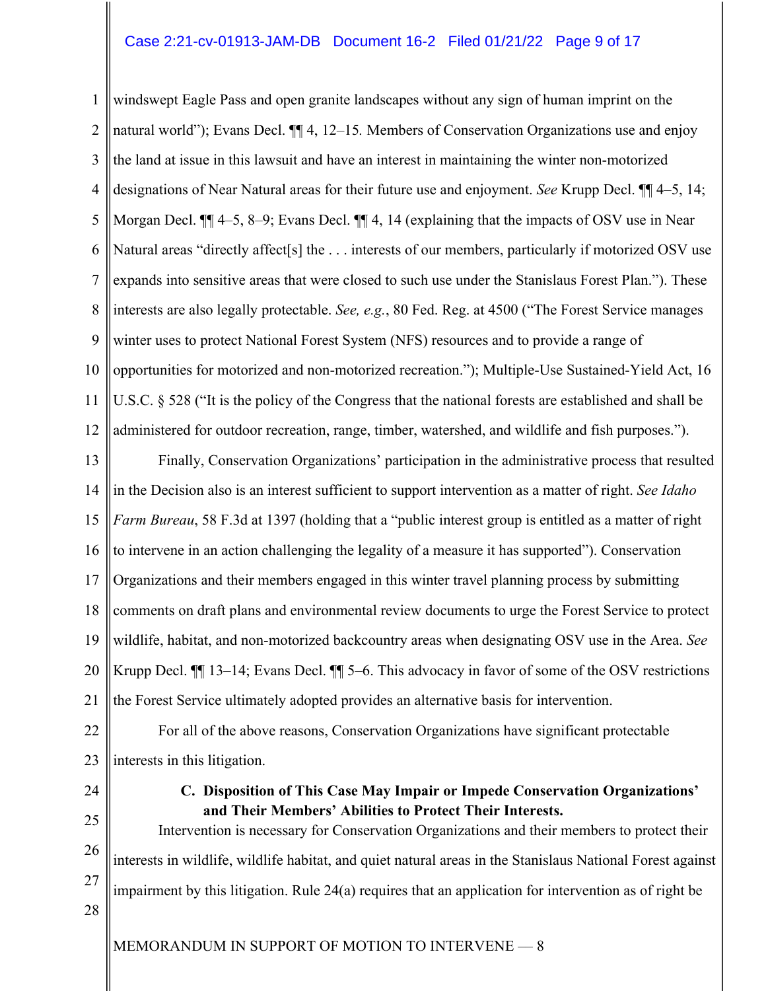## Case 2:21-cv-01913-JAM-DB Document 16-2 Filed 01/21/22 Page 9 of 17

1 2 3 4 5 6 7 8 9 10 11 12 windswept Eagle Pass and open granite landscapes without any sign of human imprint on the natural world"); Evans Decl. ¶¶ 4, 12–15*.* Members of Conservation Organizations use and enjoy the land at issue in this lawsuit and have an interest in maintaining the winter non-motorized designations of Near Natural areas for their future use and enjoyment. *See* Krupp Decl. ¶¶ 4–5, 14; Morgan Decl.  $\P$  4–5, 8–9; Evans Decl.  $\P$  4, 14 (explaining that the impacts of OSV use in Near Natural areas "directly affect[s] the . . . interests of our members, particularly if motorized OSV use expands into sensitive areas that were closed to such use under the Stanislaus Forest Plan."). These interests are also legally protectable. *See, e.g.*, 80 Fed. Reg. at 4500 ("The Forest Service manages winter uses to protect National Forest System (NFS) resources and to provide a range of opportunities for motorized and non-motorized recreation."); Multiple-Use Sustained-Yield Act, 16 U.S.C. § 528 ("It is the policy of the Congress that the national forests are established and shall be administered for outdoor recreation, range, timber, watershed, and wildlife and fish purposes.").

13 14 15 16 17 18 19 20 21 Finally, Conservation Organizations' participation in the administrative process that resulted in the Decision also is an interest sufficient to support intervention as a matter of right. *See Idaho Farm Bureau*, 58 F.3d at 1397 (holding that a "public interest group is entitled as a matter of right to intervene in an action challenging the legality of a measure it has supported"). Conservation Organizations and their members engaged in this winter travel planning process by submitting comments on draft plans and environmental review documents to urge the Forest Service to protect wildlife, habitat, and non-motorized backcountry areas when designating OSV use in the Area. *See*  Krupp Decl. ¶¶ 13–14; Evans Decl. ¶¶ 5–6. This advocacy in favor of some of the OSV restrictions the Forest Service ultimately adopted provides an alternative basis for intervention.

22 23 For all of the above reasons, Conservation Organizations have significant protectable interests in this litigation.

24

**C. Disposition of This Case May Impair or Impede Conservation Organizations' and Their Members' Abilities to Protect Their Interests.**

25 26 27 28 Intervention is necessary for Conservation Organizations and their members to protect their interests in wildlife, wildlife habitat, and quiet natural areas in the Stanislaus National Forest against impairment by this litigation. Rule 24(a) requires that an application for intervention as of right be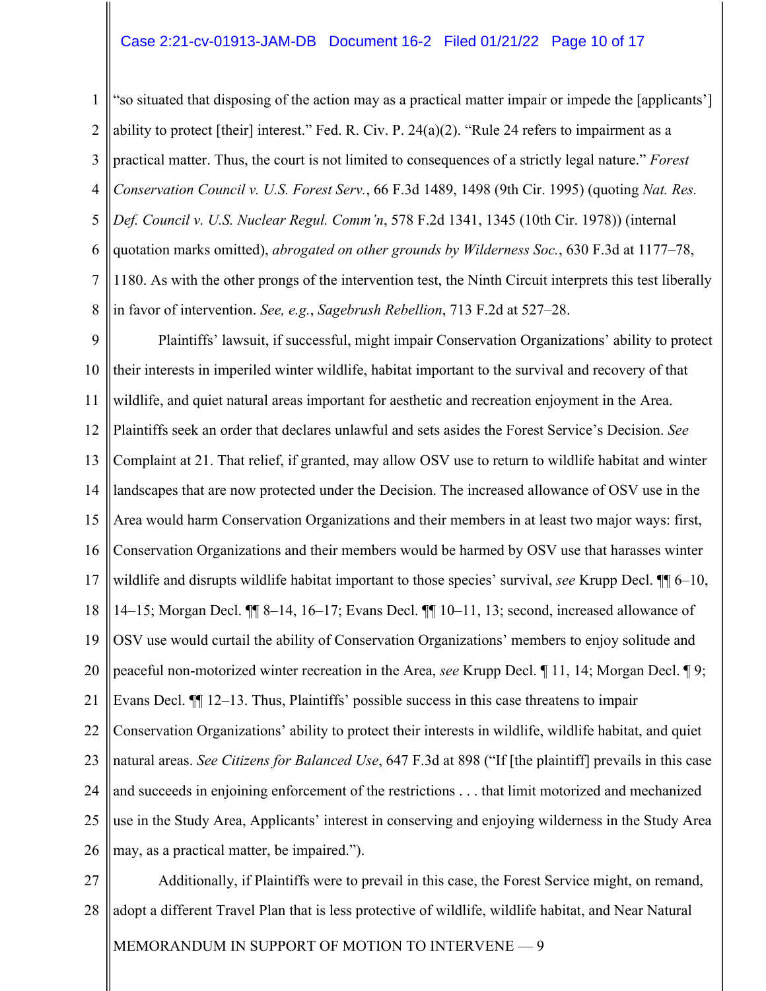#### Case 2:21-cv-01913-JAM-DB Document 16-2 Filed 01/21/22 Page 10 of 17

1 2 3 4 5 6 7 8 "so situated that disposing of the action may as a practical matter impair or impede the [applicants'] ability to protect [their] interest." Fed. R. Civ. P. 24(a)(2). "Rule 24 refers to impairment as a practical matter. Thus, the court is not limited to consequences of a strictly legal nature." *Forest Conservation Council v. U.S. Forest Serv.*, 66 F.3d 1489, 1498 (9th Cir. 1995) (quoting *Nat. Res. Def. Council v. U.S. Nuclear Regul. Comm'n*, 578 F.2d 1341, 1345 (10th Cir. 1978)) (internal quotation marks omitted), *abrogated on other grounds by Wilderness Soc.*, 630 F.3d at 1177–78, 1180. As with the other prongs of the intervention test, the Ninth Circuit interprets this test liberally in favor of intervention. *See, e.g.*, *Sagebrush Rebellion*, 713 F.2d at 527–28.

9 10 11 12 13 14 15 16 17 18 19 20 21 22 23 24 25 26 Plaintiffs' lawsuit, if successful, might impair Conservation Organizations' ability to protect their interests in imperiled winter wildlife, habitat important to the survival and recovery of that wildlife, and quiet natural areas important for aesthetic and recreation enjoyment in the Area. Plaintiffs seek an order that declares unlawful and sets asides the Forest Service's Decision. *See*  Complaint at 21. That relief, if granted, may allow OSV use to return to wildlife habitat and winter landscapes that are now protected under the Decision. The increased allowance of OSV use in the Area would harm Conservation Organizations and their members in at least two major ways: first, Conservation Organizations and their members would be harmed by OSV use that harasses winter wildlife and disrupts wildlife habitat important to those species' survival, *see* Krupp Decl. ¶¶ 6–10, 14–15; Morgan Decl. ¶¶ 8–14, 16–17; Evans Decl. ¶¶ 10–11, 13; second, increased allowance of OSV use would curtail the ability of Conservation Organizations' members to enjoy solitude and peaceful non-motorized winter recreation in the Area, *see* Krupp Decl. ¶ 11, 14; Morgan Decl. ¶ 9; Evans Decl. ¶¶ 12–13. Thus, Plaintiffs' possible success in this case threatens to impair Conservation Organizations' ability to protect their interests in wildlife, wildlife habitat, and quiet natural areas. *See Citizens for Balanced Use*, 647 F.3d at 898 ("If [the plaintiff] prevails in this case and succeeds in enjoining enforcement of the restrictions . . . that limit motorized and mechanized use in the Study Area, Applicants' interest in conserving and enjoying wilderness in the Study Area may, as a practical matter, be impaired.").

MEMORANDUM IN SUPPORT OF MOTION TO INTERVENE - 9 27 28 Additionally, if Plaintiffs were to prevail in this case, the Forest Service might, on remand, adopt a different Travel Plan that is less protective of wildlife, wildlife habitat, and Near Natural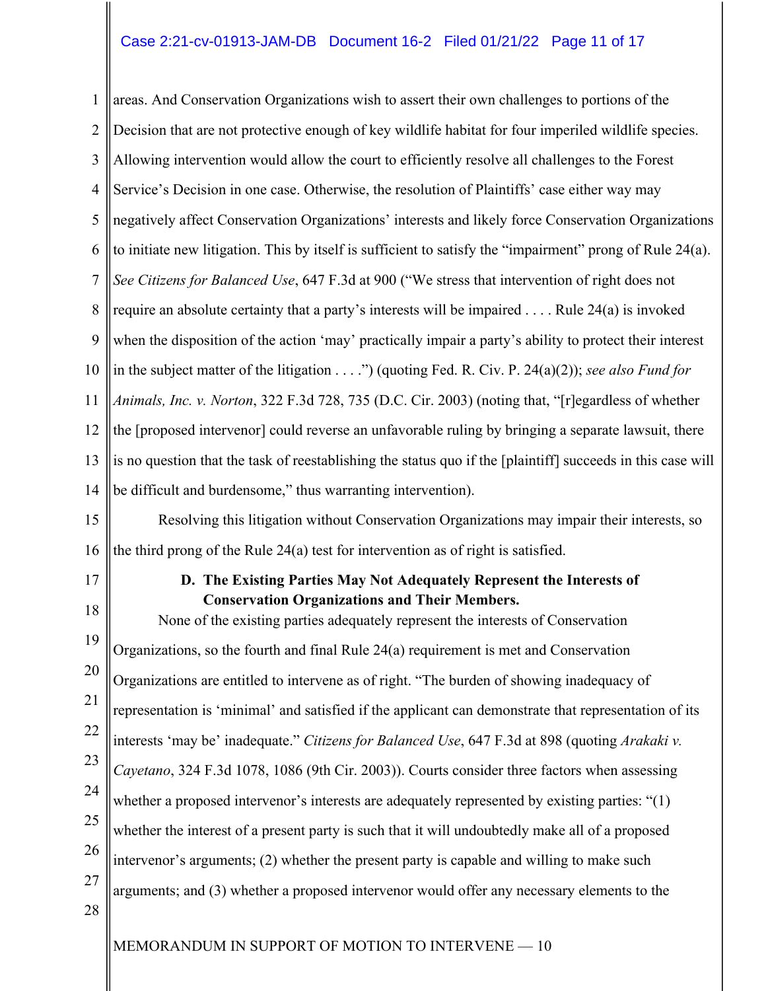## Case 2:21-cv-01913-JAM-DB Document 16-2 Filed 01/21/22 Page 11 of 17

1 2 3 4 5 6 7 8 9 10 11 12 13 14 areas. And Conservation Organizations wish to assert their own challenges to portions of the Decision that are not protective enough of key wildlife habitat for four imperiled wildlife species. Allowing intervention would allow the court to efficiently resolve all challenges to the Forest Service's Decision in one case. Otherwise, the resolution of Plaintiffs' case either way may negatively affect Conservation Organizations' interests and likely force Conservation Organizations to initiate new litigation. This by itself is sufficient to satisfy the "impairment" prong of Rule 24(a). *See Citizens for Balanced Use*, 647 F.3d at 900 ("We stress that intervention of right does not require an absolute certainty that a party's interests will be impaired . . . . Rule 24(a) is invoked when the disposition of the action 'may' practically impair a party's ability to protect their interest in the subject matter of the litigation . . . .") (quoting Fed. R. Civ. P. 24(a)(2)); *see also Fund for Animals, Inc. v. Norton*, 322 F.3d 728, 735 (D.C. Cir. 2003) (noting that, "[r]egardless of whether the [proposed intervenor] could reverse an unfavorable ruling by bringing a separate lawsuit, there is no question that the task of reestablishing the status quo if the [plaintiff] succeeds in this case will be difficult and burdensome," thus warranting intervention).

15 16 Resolving this litigation without Conservation Organizations may impair their interests, so the third prong of the Rule 24(a) test for intervention as of right is satisfied.

17

# **D. The Existing Parties May Not Adequately Represent the Interests of Conservation Organizations and Their Members.**

18 19 20 21 22 23 24 25 26 27 28 None of the existing parties adequately represent the interests of Conservation Organizations, so the fourth and final Rule 24(a) requirement is met and Conservation Organizations are entitled to intervene as of right. "The burden of showing inadequacy of representation is 'minimal' and satisfied if the applicant can demonstrate that representation of its interests 'may be' inadequate." *Citizens for Balanced Use*, 647 F.3d at 898 (quoting *Arakaki v. Cayetano*, 324 F.3d 1078, 1086 (9th Cir. 2003)). Courts consider three factors when assessing whether a proposed intervenor's interests are adequately represented by existing parties: "(1) whether the interest of a present party is such that it will undoubtedly make all of a proposed intervenor's arguments; (2) whether the present party is capable and willing to make such arguments; and (3) whether a proposed intervenor would offer any necessary elements to the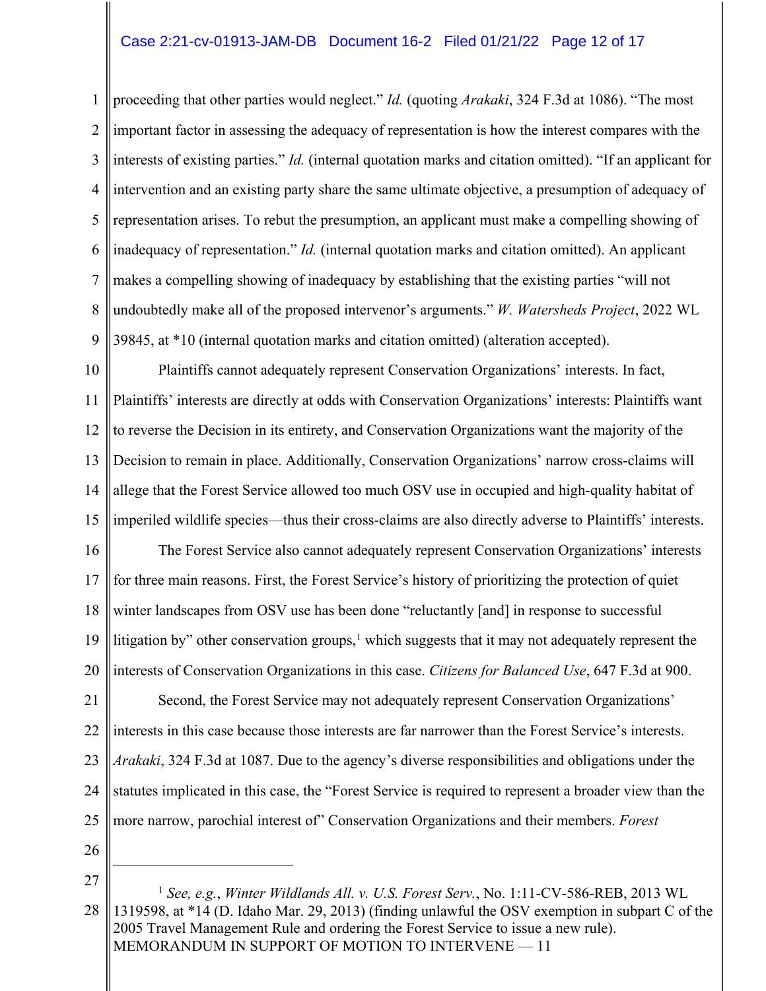## Case 2:21-cv-01913-JAM-DB Document 16-2 Filed 01/21/22 Page 12 of 17

1 2 3 4 5 6 7 8 9 proceeding that other parties would neglect." *Id.* (quoting *Arakaki*, 324 F.3d at 1086). "The most important factor in assessing the adequacy of representation is how the interest compares with the interests of existing parties." *Id.* (internal quotation marks and citation omitted). "If an applicant for intervention and an existing party share the same ultimate objective, a presumption of adequacy of representation arises. To rebut the presumption, an applicant must make a compelling showing of inadequacy of representation." *Id.* (internal quotation marks and citation omitted). An applicant makes a compelling showing of inadequacy by establishing that the existing parties "will not undoubtedly make all of the proposed intervenor's arguments." *W. Watersheds Project*, 2022 WL 39845, at \*10 (internal quotation marks and citation omitted) (alteration accepted).

10 11 12 13 14 15 Plaintiffs cannot adequately represent Conservation Organizations' interests. In fact, Plaintiffs' interests are directly at odds with Conservation Organizations' interests: Plaintiffs want to reverse the Decision in its entirety, and Conservation Organizations want the majority of the Decision to remain in place. Additionally, Conservation Organizations' narrow cross-claims will allege that the Forest Service allowed too much OSV use in occupied and high-quality habitat of imperiled wildlife species––thus their cross-claims are also directly adverse to Plaintiffs' interests.

16 17 18 19 20 The Forest Service also cannot adequately represent Conservation Organizations' interests for three main reasons. First, the Forest Service's history of prioritizing the protection of quiet winter landscapes from OSV use has been done "reluctantly [and] in response to successful litigation by" other conservation groups,<sup>1</sup> which suggests that it may not adequately represent the interests of Conservation Organizations in this case. *Citizens for Balanced Use*, 647 F.3d at 900.

21 22 23 24 25 Second, the Forest Service may not adequately represent Conservation Organizations' interests in this case because those interests are far narrower than the Forest Service's interests. *Arakaki*, 324 F.3d at 1087. Due to the agency's diverse responsibilities and obligations under the statutes implicated in this case, the "Forest Service is required to represent a broader view than the more narrow, parochial interest of" Conservation Organizations and their members. *Forest* 

26

27

MEMORANDUM IN SUPPORT OF MOTION TO INTERVENE - 11 28 <sup>1</sup> *See, e.g.*, *Winter Wildlands All. v. U.S. Forest Serv.*, No. 1:11-CV-586-REB, 2013 WL 1319598, at \*14 (D. Idaho Mar. 29, 2013) (finding unlawful the OSV exemption in subpart C of the 2005 Travel Management Rule and ordering the Forest Service to issue a new rule).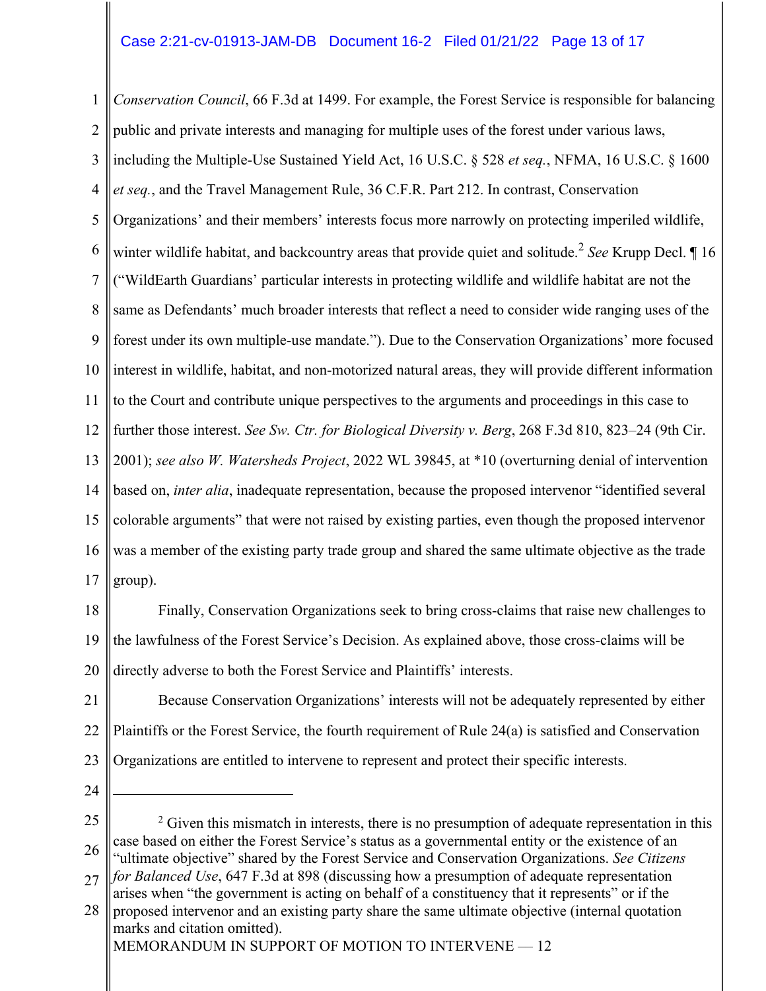## Case 2:21-cv-01913-JAM-DB Document 16-2 Filed 01/21/22 Page 13 of 17

1 2 3 4 5 6 7 8 9 10 11 12 13 14 15 16 17 *Conservation Council*, 66 F.3d at 1499. For example, the Forest Service is responsible for balancing public and private interests and managing for multiple uses of the forest under various laws, including the Multiple-Use Sustained Yield Act, 16 U.S.C. § 528 *et seq.*, NFMA, 16 U.S.C. § 1600 *et seq.*, and the Travel Management Rule, 36 C.F.R. Part 212. In contrast, Conservation Organizations' and their members' interests focus more narrowly on protecting imperiled wildlife, winter wildlife habitat, and backcountry areas that provide quiet and solitude. <sup>2</sup> *See* Krupp Decl. ¶ 16 ("WildEarth Guardians' particular interests in protecting wildlife and wildlife habitat are not the same as Defendants' much broader interests that reflect a need to consider wide ranging uses of the forest under its own multiple-use mandate."). Due to the Conservation Organizations' more focused interest in wildlife, habitat, and non-motorized natural areas, they will provide different information to the Court and contribute unique perspectives to the arguments and proceedings in this case to further those interest. *See Sw. Ctr. for Biological Diversity v. Berg*, 268 F.3d 810, 823–24 (9th Cir. 2001); *see also W. Watersheds Project*, 2022 WL 39845, at \*10 (overturning denial of intervention based on, *inter alia*, inadequate representation, because the proposed intervenor "identified several colorable arguments" that were not raised by existing parties, even though the proposed intervenor was a member of the existing party trade group and shared the same ultimate objective as the trade group).

18 19 20 Finally, Conservation Organizations seek to bring cross-claims that raise new challenges to the lawfulness of the Forest Service's Decision. As explained above, those cross-claims will be directly adverse to both the Forest Service and Plaintiffs' interests.

21 22 23 Because Conservation Organizations' interests will not be adequately represented by either Plaintiffs or the Forest Service, the fourth requirement of Rule 24(a) is satisfied and Conservation Organizations are entitled to intervene to represent and protect their specific interests.

24

25 26  $2$  Given this mismatch in interests, there is no presumption of adequate representation in this case based on either the Forest Service's status as a governmental entity or the existence of an "ultimate objective" shared by the Forest Service and Conservation Organizations. *See Citizens*

<sup>27</sup> *for Balanced Use*, 647 F.3d at 898 (discussing how a presumption of adequate representation arises when "the government is acting on behalf of a constituency that it represents" or if the

<sup>28</sup> proposed intervenor and an existing party share the same ultimate objective (internal quotation marks and citation omitted).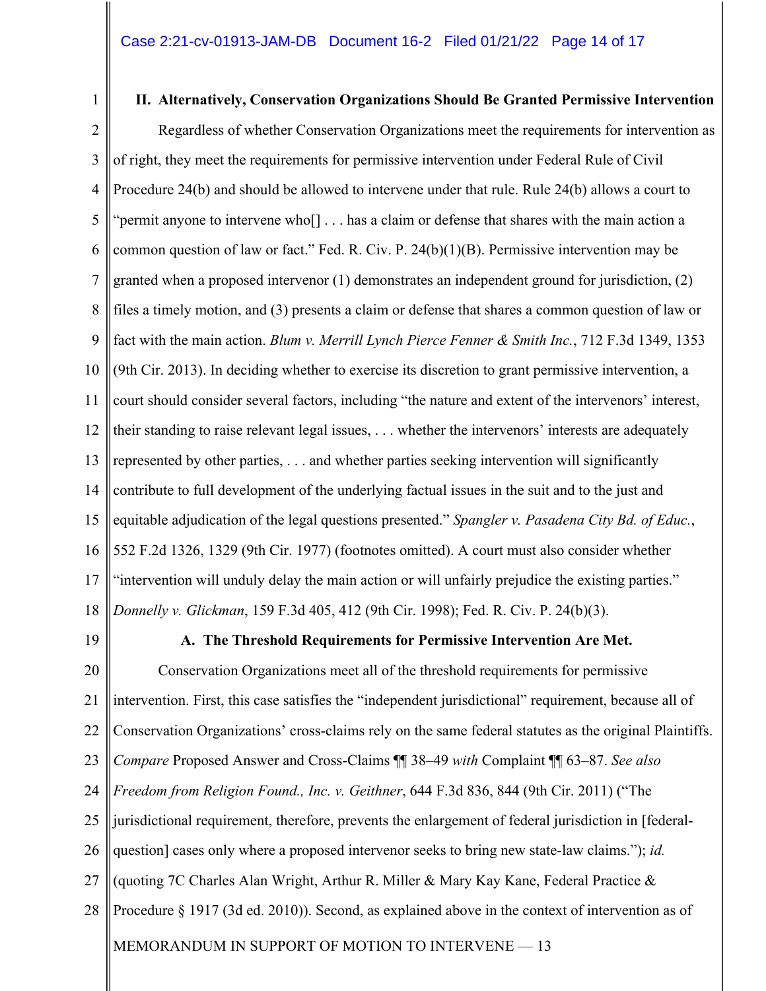#### **II. Alternatively, Conservation Organizations Should Be Granted Permissive Intervention**

2 3 4 5 6 7 8 9 10 11 12 13 14 15 16 17 18 Regardless of whether Conservation Organizations meet the requirements for intervention as of right, they meet the requirements for permissive intervention under Federal Rule of Civil Procedure 24(b) and should be allowed to intervene under that rule. Rule 24(b) allows a court to "permit anyone to intervene who[] . . . has a claim or defense that shares with the main action a common question of law or fact." Fed. R. Civ. P. 24(b)(1)(B). Permissive intervention may be granted when a proposed intervenor (1) demonstrates an independent ground for jurisdiction, (2) files a timely motion, and (3) presents a claim or defense that shares a common question of law or fact with the main action. *Blum v. Merrill Lynch Pierce Fenner & Smith Inc.*, 712 F.3d 1349, 1353 (9th Cir. 2013). In deciding whether to exercise its discretion to grant permissive intervention, a court should consider several factors, including "the nature and extent of the intervenors' interest, their standing to raise relevant legal issues, . . . whether the intervenors' interests are adequately represented by other parties, . . . and whether parties seeking intervention will significantly contribute to full development of the underlying factual issues in the suit and to the just and equitable adjudication of the legal questions presented." *Spangler v. Pasadena City Bd. of Educ.*, 552 F.2d 1326, 1329 (9th Cir. 1977) (footnotes omitted). A court must also consider whether "intervention will unduly delay the main action or will unfairly prejudice the existing parties." *Donnelly v. Glickman*, 159 F.3d 405, 412 (9th Cir. 1998); Fed. R. Civ. P. 24(b)(3).

19

1

#### **A. The Threshold Requirements for Permissive Intervention Are Met.**

MEMORANDUM IN SUPPORT OF MOTION TO INTERVENE - 13 20 21 22 23 24 25 26 27 28 Conservation Organizations meet all of the threshold requirements for permissive intervention. First, this case satisfies the "independent jurisdictional" requirement, because all of Conservation Organizations' cross-claims rely on the same federal statutes as the original Plaintiffs. *Compare* Proposed Answer and Cross-Claims ¶¶ 38–49 *with* Complaint ¶¶ 63–87. *See also Freedom from Religion Found., Inc. v. Geithner*, 644 F.3d 836, 844 (9th Cir. 2011) ("The jurisdictional requirement, therefore, prevents the enlargement of federal jurisdiction in [federalquestion] cases only where a proposed intervenor seeks to bring new state-law claims."); *id.*  (quoting 7C Charles Alan Wright, Arthur R. Miller & Mary Kay Kane, Federal Practice & Procedure § 1917 (3d ed. 2010)). Second, as explained above in the context of intervention as of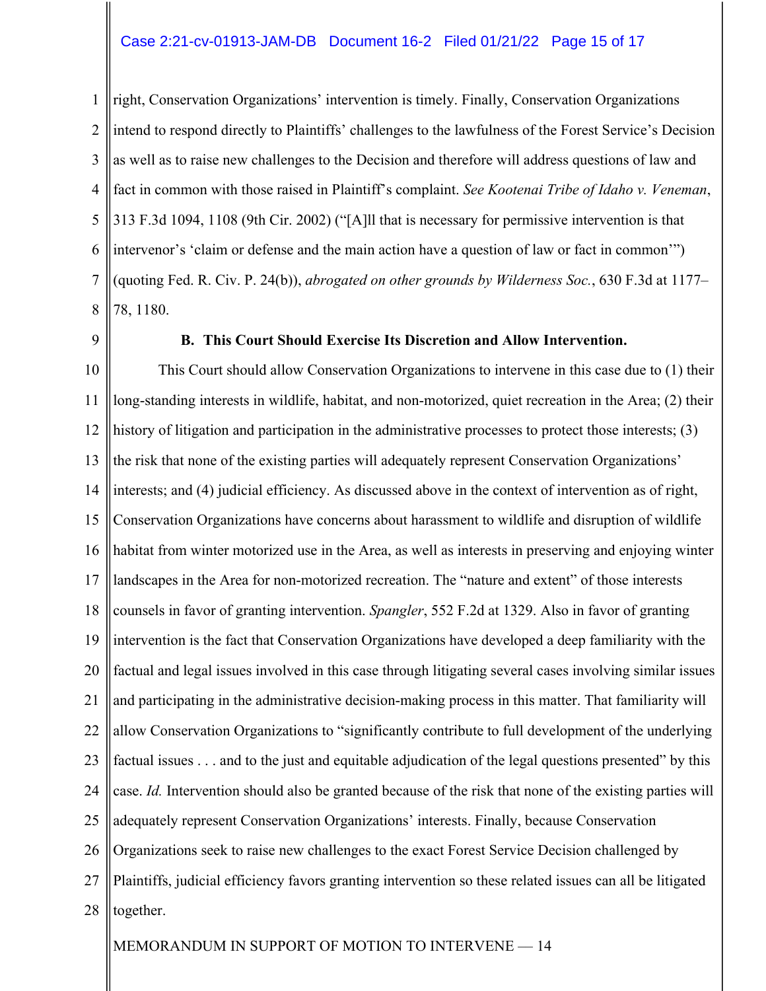#### Case 2:21-cv-01913-JAM-DB Document 16-2 Filed 01/21/22 Page 15 of 17

1 2 3 4 5 6 7 8 right, Conservation Organizations' intervention is timely. Finally, Conservation Organizations intend to respond directly to Plaintiffs' challenges to the lawfulness of the Forest Service's Decision as well as to raise new challenges to the Decision and therefore will address questions of law and fact in common with those raised in Plaintiff's complaint. *See Kootenai Tribe of Idaho v. Veneman*, 313 F.3d 1094, 1108 (9th Cir. 2002) ("[A]ll that is necessary for permissive intervention is that intervenor's 'claim or defense and the main action have a question of law or fact in common'") (quoting Fed. R. Civ. P. 24(b)), *abrogated on other grounds by Wilderness Soc.*, 630 F.3d at 1177– 78, 1180.

9

#### **B. This Court Should Exercise Its Discretion and Allow Intervention.**

10 11 12 13 14 15 16 17 18 19 20 21 22 23 24 25 26 27 28 This Court should allow Conservation Organizations to intervene in this case due to (1) their long-standing interests in wildlife, habitat, and non-motorized, quiet recreation in the Area; (2) their history of litigation and participation in the administrative processes to protect those interests; (3) the risk that none of the existing parties will adequately represent Conservation Organizations' interests; and (4) judicial efficiency. As discussed above in the context of intervention as of right, Conservation Organizations have concerns about harassment to wildlife and disruption of wildlife habitat from winter motorized use in the Area, as well as interests in preserving and enjoying winter landscapes in the Area for non-motorized recreation. The "nature and extent" of those interests counsels in favor of granting intervention. *Spangler*, 552 F.2d at 1329. Also in favor of granting intervention is the fact that Conservation Organizations have developed a deep familiarity with the factual and legal issues involved in this case through litigating several cases involving similar issues and participating in the administrative decision-making process in this matter. That familiarity will allow Conservation Organizations to "significantly contribute to full development of the underlying factual issues . . . and to the just and equitable adjudication of the legal questions presented" by this case. *Id.* Intervention should also be granted because of the risk that none of the existing parties will adequately represent Conservation Organizations' interests. Finally, because Conservation Organizations seek to raise new challenges to the exact Forest Service Decision challenged by Plaintiffs, judicial efficiency favors granting intervention so these related issues can all be litigated together.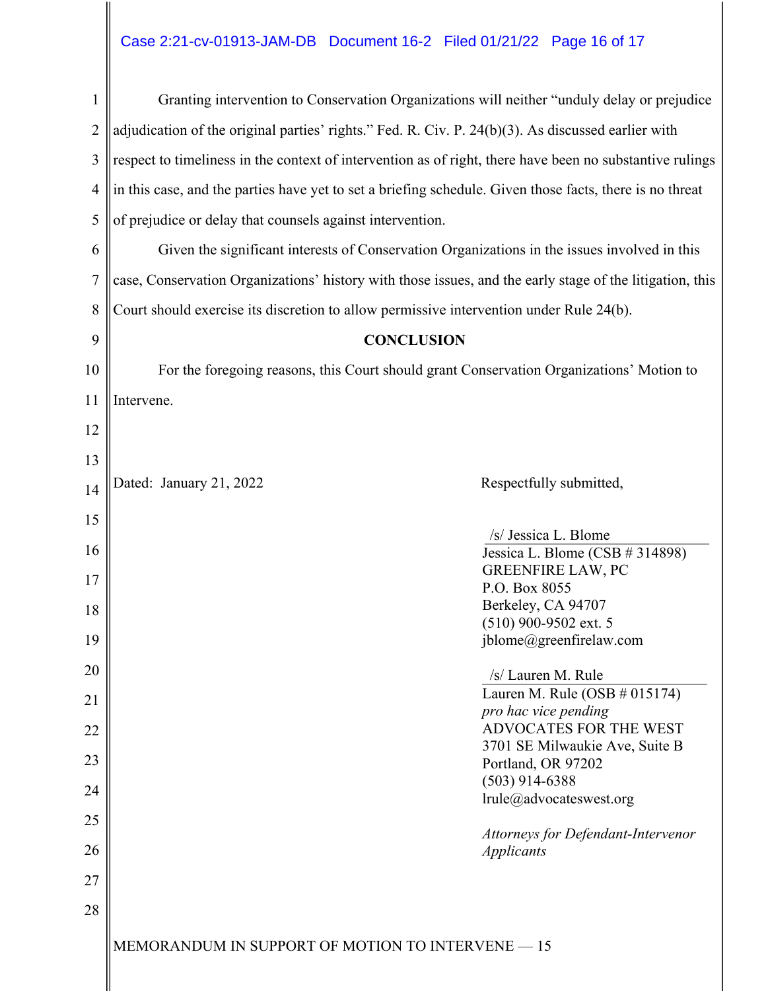# Case 2:21-cv-01913-JAM-DB Document 16-2 Filed 01/21/22 Page 16 of 17

| $\mathbf{1}$   | Granting intervention to Conservation Organizations will neither "unduly delay or prejudice              |  |  |  |  |
|----------------|----------------------------------------------------------------------------------------------------------|--|--|--|--|
| $\overline{2}$ | adjudication of the original parties' rights." Fed. R. Civ. P. 24(b)(3). As discussed earlier with       |  |  |  |  |
| 3              | respect to timeliness in the context of intervention as of right, there have been no substantive rulings |  |  |  |  |
| $\overline{4}$ | in this case, and the parties have yet to set a briefing schedule. Given those facts, there is no threat |  |  |  |  |
| 5              | of prejudice or delay that counsels against intervention.                                                |  |  |  |  |
| 6              | Given the significant interests of Conservation Organizations in the issues involved in this             |  |  |  |  |
| $\overline{7}$ | case, Conservation Organizations' history with those issues, and the early stage of the litigation, this |  |  |  |  |
| 8              | Court should exercise its discretion to allow permissive intervention under Rule 24(b).                  |  |  |  |  |
| 9              | <b>CONCLUSION</b>                                                                                        |  |  |  |  |
| 10             | For the foregoing reasons, this Court should grant Conservation Organizations' Motion to                 |  |  |  |  |
| 11             | Intervene.                                                                                               |  |  |  |  |
| 12             |                                                                                                          |  |  |  |  |
| 13             |                                                                                                          |  |  |  |  |
| 14             | Dated: January 21, 2022<br>Respectfully submitted,                                                       |  |  |  |  |
| 15             | /s/ Jessica L. Blome                                                                                     |  |  |  |  |
| 16             | Jessica L. Blome (CSB # 314898)                                                                          |  |  |  |  |
| 17             | <b>GREENFIRE LAW, PC</b><br>P.O. Box 8055                                                                |  |  |  |  |
| 18             | Berkeley, CA 94707                                                                                       |  |  |  |  |
| 19             | $(510)$ 900-9502 ext. 5<br>jblome@greenfirelaw.com                                                       |  |  |  |  |
| 20             | /s/ Lauren M. Rule                                                                                       |  |  |  |  |
|                | Lauren M. Rule (OSB $\#$ 015174)                                                                         |  |  |  |  |
| 21             | pro hac vice pending                                                                                     |  |  |  |  |
| 22             | ADVOCATES FOR THE WEST<br>3701 SE Milwaukie Ave, Suite B                                                 |  |  |  |  |
| 23             | Portland, OR 97202                                                                                       |  |  |  |  |
| 24             | $(503)$ 914-6388                                                                                         |  |  |  |  |
| 25             | lrule@advocateswest.org                                                                                  |  |  |  |  |
| 26             | Attorneys for Defendant-Intervenor<br><b>Applicants</b>                                                  |  |  |  |  |
| 27             |                                                                                                          |  |  |  |  |
| 28             |                                                                                                          |  |  |  |  |
|                | MEMORANDUM IN SUPPORT OF MOTION TO INTERVENE - 15                                                        |  |  |  |  |
|                |                                                                                                          |  |  |  |  |